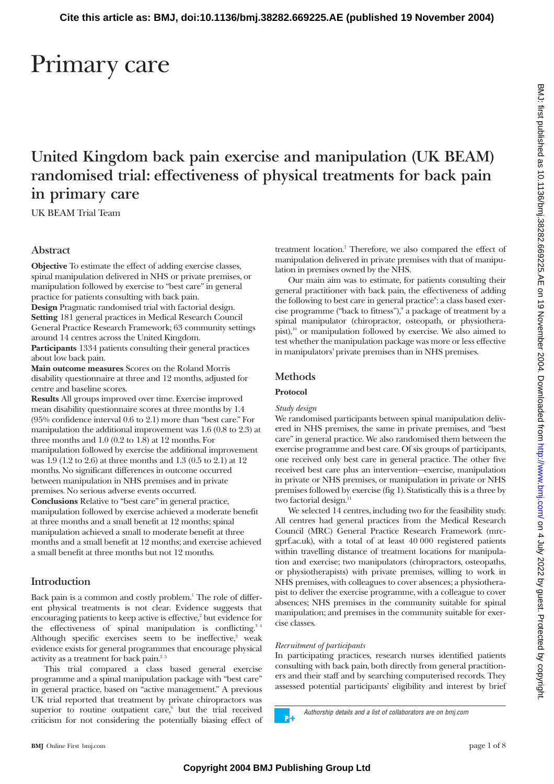# Primary care

# **United Kingdom back pain exercise and manipulation (UK BEAM) randomised trial: effectiveness of physical treatments for back pain in primary care**

UK BEAM Trial Team

# **Abstract**

**Objective** To estimate the effect of adding exercise classes, spinal manipulation delivered in NHS or private premises, or manipulation followed by exercise to "best care" in general practice for patients consulting with back pain.

**Design** Pragmatic randomised trial with factorial design. **Setting** 181 general practices in Medical Research Council General Practice Research Framework; 63 community settings around 14 centres across the United Kingdom.

**Participants** 1334 patients consulting their general practices about low back pain.

**Main outcome measures** Scores on the Roland Morris disability questionnaire at three and 12 months, adjusted for centre and baseline scores.

**Results** All groups improved over time. Exercise improved mean disability questionnaire scores at three months by 1.4 (95% confidence interval 0.6 to 2.1) more than "best care." For manipulation the additional improvement was 1.6 (0.8 to 2.3) at three months and 1.0 (0.2 to 1.8) at 12 months. For manipulation followed by exercise the additional improvement was 1.9 (1.2 to 2.6) at three months and 1.3 (0.5 to 2.1) at 12 months. No significant differences in outcome occurred between manipulation in NHS premises and in private premises. No serious adverse events occurred.

**Conclusions** Relative to "best care" in general practice, manipulation followed by exercise achieved a moderate benefit at three months and a small benefit at 12 months; spinal manipulation achieved a small to moderate benefit at three months and a small benefit at 12 months; and exercise achieved a small benefit at three months but not 12 months.

# **Introduction**

Back pain is a common and costly problem.<sup>1</sup> The role of different physical treatments is not clear. Evidence suggests that encouraging patients to keep active is effective,<sup>2</sup> but evidence for the effectiveness of spinal manipulation is conflicting.<sup>34</sup> Although specific exercises seem to be ineffective,<sup>3</sup> weak evidence exists for general programmes that encourage physical activity as a treatment for back pain.<sup>2</sup>

This trial compared a class based general exercise programme and a spinal manipulation package with "best care" in general practice, based on "active management." A previous UK trial reported that treatment by private chiropractors was superior to routine outpatient care, $6$  but the trial received criticism for not considering the potentially biasing effect of treatment location.<sup>7</sup> Therefore, we also compared the effect of manipulation delivered in private premises with that of manipulation in premises owned by the NHS.

Our main aim was to estimate, for patients consulting their general practitioner with back pain, the effectiveness of adding the following to best care in general practice $^{\rm s}$ : a class based exercise programme ("back to fitness"), $\degree$  a package of treatment by a spinal manipulator (chiropractor, osteopath, or physiotherapist), $10$  or manipulation followed by exercise. We also aimed to test whether the manipulation package was more or less effective in manipulators' private premises than in NHS premises.

# **Methods**

#### **Protocol**

#### *Study design*

We randomised participants between spinal manipulation delivered in NHS premises, the same in private premises, and "best care" in general practice. We also randomised them between the exercise programme and best care. Of six groups of participants, one received only best care in general practice. The other five received best care plus an intervention—exercise, manipulation in private or NHS premises, or manipulation in private or NHS premises followed by exercise (fig 1). Statistically this is a three by two factorial design.<sup>11</sup>

We selected 14 centres, including two for the feasibility study. All centres had general practices from the Medical Research Council (MRC) General Practice Research Framework (mrcgprf.ac.uk), with a total of at least 40 000 registered patients within travelling distance of treatment locations for manipulation and exercise; two manipulators (chiropractors, osteopaths, or physiotherapists) with private premises, willing to work in NHS premises, with colleagues to cover absences; a physiotherapist to deliver the exercise programme, with a colleague to cover absences; NHS premises in the community suitable for spinal manipulation; and premises in the community suitable for exercise classes.

#### *Recruitment of participants*

In participating practices, research nurses identified patients consulting with back pain, both directly from general practitioners and their staff and by searching computerised records. They assessed potential participants' eligibility and interest by brief

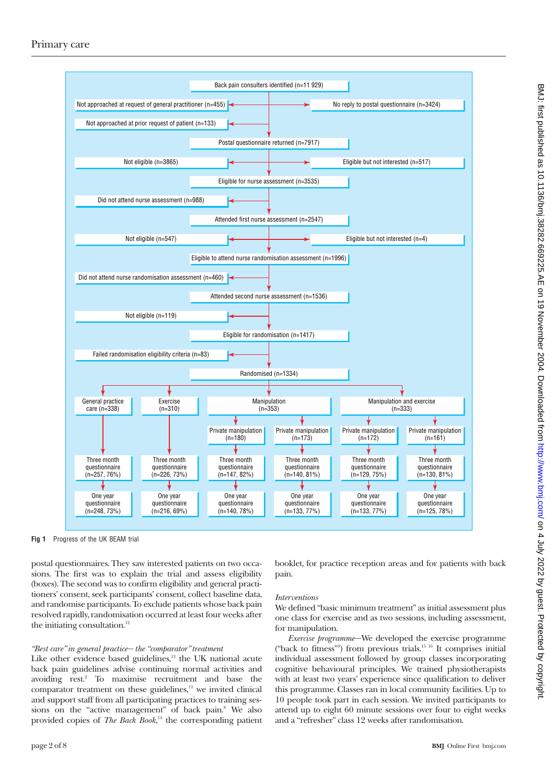

**Fig 1** Progress of the UK BEAM trial

postal questionnaires. They saw interested patients on two occasions. The first was to explain the trial and assess eligibility (boxes). The second was to confirm eligibility and general practitioners' consent, seek participants' consent, collect baseline data, and randomise participants. To exclude patients whose back pain resolved rapidly, randomisation occurred at least four weeks after the initiating consultation.<sup>12</sup>

#### *"Best care" in general practice— the "comparator" treatment*

Like other evidence based guidelines, $13$  the UK national acute back pain guidelines advise continuing normal activities and avoiding rest.2 To maximise recruitment and base the comparator treatment on these guidelines, $\frac{11}{11}$  we invited clinical and support staff from all participating practices to training sessions on the "active management" of back pain.<sup>8</sup> We also provided copies of *The Back Book*, <sup>14</sup> the corresponding patient

booklet, for practice reception areas and for patients with back pain.

#### *Interventions*

We defined "basic minimum treatment" as initial assessment plus one class for exercise and as two sessions, including assessment, for manipulation.

*Exercise programme*—We developed the exercise programme ("back to fitness"9 ) from previous trials.15 16 It comprises initial individual assessment followed by group classes incorporating cognitive behavioural principles. We trained physiotherapists with at least two years' experience since qualification to deliver this programme. Classes ran in local community facilities. Up to 10 people took part in each session. We invited participants to attend up to eight 60 minute sessions over four to eight weeks and a "refresher" class 12 weeks after randomisation.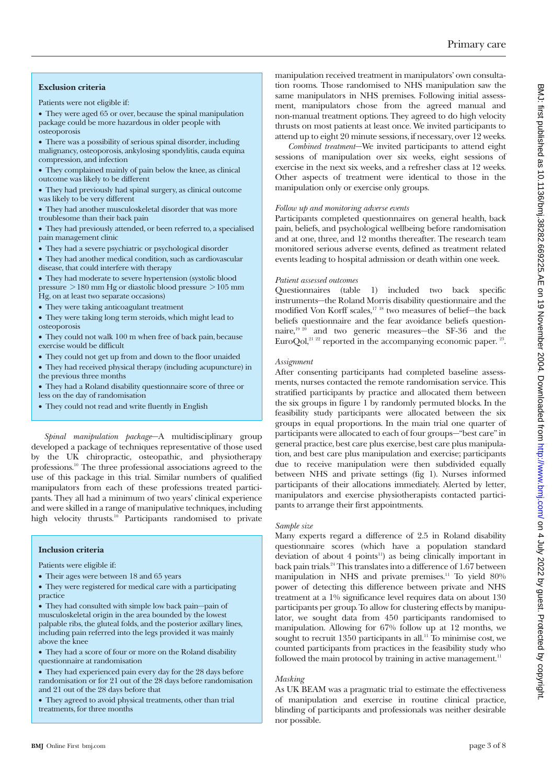# **Exclusion criteria**

Patients were not eligible if:

• They were aged 65 or over, because the spinal manipulation package could be more hazardous in older people with osteoporosis

• There was a possibility of serious spinal disorder, including malignancy, osteoporosis, ankylosing spondylitis, cauda equina compression, and infection

• They complained mainly of pain below the knee, as clinical outcome was likely to be different

• They had previously had spinal surgery, as clinical outcome was likely to be very different

• They had another musculoskeletal disorder that was more troublesome than their back pain

• They had previously attended, or been referred to, a specialised pain management clinic

• They had a severe psychiatric or psychological disorder

• They had another medical condition, such as cardiovascular disease, that could interfere with therapy

• They had moderate to severe hypertension (systolic blood pressure > 180 mm Hg or diastolic blood pressure > 105 mm Hg, on at least two separate occasions)

• They were taking anticoagulant treatment

• They were taking long term steroids, which might lead to osteoporosis

• They could not walk 100 m when free of back pain, because exercise would be difficult

• They could not get up from and down to the floor unaided

• They had received physical therapy (including acupuncture) in the previous three months

• They had a Roland disability questionnaire score of three or less on the day of randomisation

• They could not read and write fluently in English

*Spinal manipulation package*—A multidisciplinary group developed a package of techniques representative of those used by the UK chiropractic, osteopathic, and physiotherapy professions.10 The three professional associations agreed to the use of this package in this trial. Similar numbers of qualified manipulators from each of these professions treated participants. They all had a minimum of two years' clinical experience and were skilled in a range of manipulative techniques, including high velocity thrusts.<sup>10</sup> Participants randomised to private

# **Inclusion criteria**

Patients were eligible if:

• Their ages were between 18 and 65 years

• They were registered for medical care with a participating practice

• They had consulted with simple low back pain—pain of musculoskeletal origin in the area bounded by the lowest palpable ribs, the gluteal folds, and the posterior axillary lines, including pain referred into the legs provided it was mainly above the knee

• They had a score of four or more on the Roland disability questionnaire at randomisation

• They had experienced pain every day for the 28 days before randomisation or for 21 out of the 28 days before randomisation and 21 out of the 28 days before that

• They agreed to avoid physical treatments, other than trial treatments, for three months

manipulation received treatment in manipulators' own consultation rooms. Those randomised to NHS manipulation saw the same manipulators in NHS premises. Following initial assessment, manipulators chose from the agreed manual and non-manual treatment options. They agreed to do high velocity thrusts on most patients at least once. We invited participants to attend up to eight 20 minute sessions, if necessary, over 12 weeks.

*Combined treatment*—We invited participants to attend eight sessions of manipulation over six weeks, eight sessions of exercise in the next six weeks, and a refresher class at 12 weeks. Other aspects of treatment were identical to those in the manipulation only or exercise only groups.

# *Follow up and monitoring adverse events*

Participants completed questionnaires on general health, back pain, beliefs, and psychological wellbeing before randomisation and at one, three, and 12 months thereafter. The research team monitored serious adverse events, defined as treatment related events leading to hospital admission or death within one week.

# *Patient assessed outcomes*

Questionnaires (table 1) included two back specific instruments—the Roland Morris disability questionnaire and the modified Von Korff scales,17 18 two measures of belief—the back beliefs questionnaire and the fear avoidance beliefs questionnaire,<sup>19 20</sup> and two generic measures—the SF-36 and the EuroQol, $21$   $22$  reported in the accompanying economic paper.  $23$ .

### *Assignment*

After consenting participants had completed baseline assessments, nurses contacted the remote randomisation service. This stratified participants by practice and allocated them between the six groups in figure 1 by randomly permuted blocks. In the feasibility study participants were allocated between the six groups in equal proportions. In the main trial one quarter of participants were allocated to each of four groups—"best care" in general practice, best care plus exercise, best care plus manipulation, and best care plus manipulation and exercise; participants due to receive manipulation were then subdivided equally between NHS and private settings (fig 1). Nurses informed participants of their allocations immediately. Alerted by letter, manipulators and exercise physiotherapists contacted participants to arrange their first appointments.

### *Sample size*

Many experts regard a difference of 2.5 in Roland disability questionnaire scores (which have a population standard deviation of about 4 points<sup>11</sup>) as being clinically important in back pain trials.<sup>24</sup> This translates into a difference of 1.67 between manipulation in NHS and private premises.<sup>11</sup> To yield 80% power of detecting this difference between private and NHS treatment at a 1% significance level requires data on about 130 participants per group. To allow for clustering effects by manipulator, we sought data from 450 participants randomised to manipulation. Allowing for 67% follow up at 12 months, we sought to recruit  $1350$  participants in all.<sup>11</sup> To minimise cost, we counted participants from practices in the feasibility study who followed the main protocol by training in active management.<sup>11</sup>

### *Masking*

As UK BEAM was a pragmatic trial to estimate the effectiveness of manipulation and exercise in routine clinical practice, blinding of participants and professionals was neither desirable nor possible.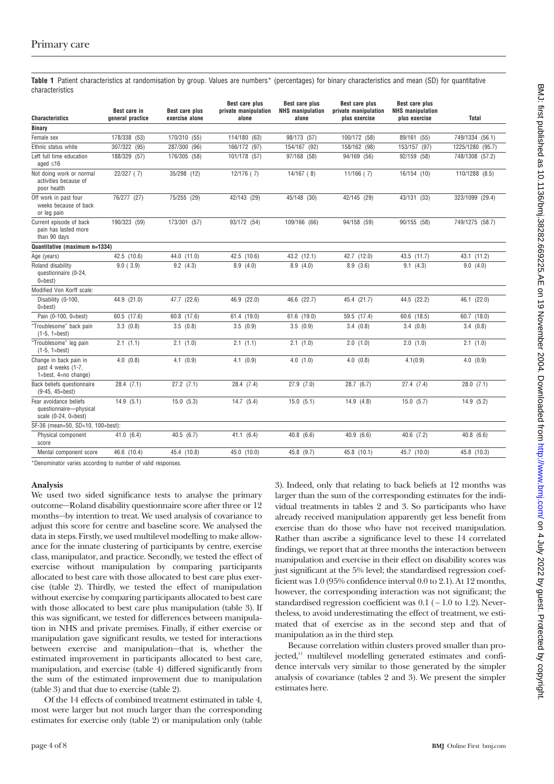**Table 1** Patient characteristics at randomisation by group. Values are numbers\* (percentages) for binary characteristics and mean (SD) for quantitative characteristics

| <b>Characteristics</b>                                                         | Best care in<br>general practice | Best care plus<br>exercise alone | Best care plus<br>private manipulation<br>alone | <b>Best care plus</b><br><b>NHS</b> manipulation<br>alone | <b>Best care plus</b><br>private manipulation<br>plus exercise | <b>Best care plus</b><br><b>NHS</b> manipulation<br>plus exercise | <b>Total</b>     |
|--------------------------------------------------------------------------------|----------------------------------|----------------------------------|-------------------------------------------------|-----------------------------------------------------------|----------------------------------------------------------------|-------------------------------------------------------------------|------------------|
| <b>Binary</b>                                                                  |                                  |                                  |                                                 |                                                           |                                                                |                                                                   |                  |
| Female sex                                                                     | 178/338 (53)                     | 170/310 (55)                     | 114/180 (63)                                    | 98/173 (57)                                               | 100/172 (58)                                                   | 89/161 (55)                                                       | 749/1334 (56.1)  |
| Ethnic status white                                                            | 307/322 (95)                     | 287/300 (96)                     | 166/172 (97)                                    | 154/167 (92)                                              | 158/162 (98)                                                   | 153/157 (97)                                                      | 1225/1280 (95.7) |
| Left full time education<br>aged $\leq 16$                                     | 188/329 (57)                     | 176/305 (58)                     | 101/178 (57)                                    | 97/168 (58)                                               | 94/169 (56)                                                    | 92/159 (58)                                                       | 748/1308 (57.2)  |
| Not doing work or normal<br>activities because of<br>poor health               | 22/327(7)                        | 35/298 (12)                      | 12/176(7)                                       | $14/167$ (8)                                              | $11/166$ (7)                                                   | 16/154 (10)                                                       | 110/1288 (8.5)   |
| Off work in past four<br>weeks because of back<br>or leg pain                  | 76/277 (27)                      | 75/255 (29)                      | 42/143 (29)                                     | 45/148 (30)                                               | 42/145 (29)                                                    | 43/131 (33)                                                       | 323/1099 (29.4)  |
| Current episode of back<br>pain has lasted more<br>than 90 days                | 190/323 (59)                     | 173/301 (57)                     | 93/172 (54)                                     | 109/166 (66)                                              | 94/158 (59)                                                    | 90/155 (58)                                                       | 749/1275 (58.7)  |
| Quantitative (maximum n=1334)                                                  |                                  |                                  |                                                 |                                                           |                                                                |                                                                   |                  |
| Age (years)                                                                    | 42.5 (10.6)                      | 44.0 (11.0)                      | 42.5 (10.6)                                     | 43.2 (12.1)                                               | 42.7 (12.0)                                                    | 43.5 (11.7)                                                       | 43.1 (11.2)      |
| Roland disability<br>questionnaire (0-24,<br>$0 = best$ )                      | 9.0(3.9)                         | 9.2(4.3)                         | 8.9(4.0)                                        | 8.9(4.0)                                                  | 8.9(3.6)                                                       | 9.1(4.3)                                                          | 9.0(4.0)         |
| Modified Von Korff scale:                                                      |                                  |                                  |                                                 |                                                           |                                                                |                                                                   |                  |
| Disability (0-100,<br>$0 = best$ )                                             | 44.9 (21.0)                      | 47.7 (22.6)                      | 46.9 (22.0)                                     | 46.6 (22.7)                                               | 45.4 (21.7)                                                    | 44.5 (22.2)                                                       | 46.1 (22.0)      |
| Pain (0-100, 0=best)                                                           | 60.5 (17.6)                      | 60.8 (17.6)                      | 61.4 (19.0)                                     | 61.6 (19.0)                                               | 59.5 (17.4)                                                    | 60.6 (18.5)                                                       | 60.7 (18.0)      |
| "Troublesome" back pain<br>$(1-5, 1=best)$                                     | 3.3(0.8)                         | 3.5(0.8)                         | 3.5(0.9)                                        | 3.5(0.9)                                                  | 3.4(0.8)                                                       | 3.4(0.8)                                                          | 3.4(0.8)         |
| "Troublesome" leg pain<br>$(1-5, 1=best)$                                      | 2.1(1.1)                         | 2.1(1.0)                         | 2.1(1.1)                                        | 2.1(1.0)                                                  | 2.0(1.0)                                                       | 2.0(1.0)                                                          | 2.1(1.0)         |
| Change in back pain in<br>past 4 weeks (1-7,<br>$1 = best$ , $4 = no change$ ) | 4.0(0.8)                         | 4.1(0.9)                         | 4.1 (0.9)                                       | 4.0(1.0)                                                  | 4.0(0.8)                                                       | 4.1(0.9)                                                          | 4.0(0.9)         |
| Back beliefs questionnaire<br>$(9-45, 45=best)$                                | $28.4$ $(7.1)$                   | $27.2$ $(7.1)$                   | 28.4 (7.4)                                      | $27.9$ $(7.0)$                                            | 28.7(6.7)                                                      | $27.4$ $(7.4)$                                                    | $28.0$ $(7.1)$   |
| Fear avoidance beliefs<br>questionnaire-physical<br>scale (0-24, 0=best)       | 14.9(5.1)                        | 15.0(5.3)                        | $14.7$ $(5.4)$                                  | 15.0(5.1)                                                 | 14.9 (4.8)                                                     | $15.0$ $(5.7)$                                                    | $14.9$ $(5.2)$   |
| SF-36 (mean=50, SD=10, 100=best):                                              |                                  |                                  |                                                 |                                                           |                                                                |                                                                   |                  |
| Physical component<br>score                                                    | 41.0 (6.4)                       | 40.5(6.7)                        | 41.1 (6.4)                                      | 40.8(6.6)                                                 | 40.9 (6.6)                                                     | 40.6 (7.2)                                                        | 40.8 (6.6)       |
| Mental component score                                                         | 46.6 (10.4)                      | 45.4 (10.8)                      | 45.0 (10.0)                                     | 45.8 (9.7)                                                | 45.8 (10.1)                                                    | 45.7 (10.0)                                                       | 45.8 (10.3)      |

\*Denominator varies according to number of valid responses.

#### **Analysis**

We used two sided significance tests to analyse the primary outcome—Roland disability questionnaire score after three or 12 months—by intention to treat. We used analysis of covariance to adjust this score for centre and baseline score. We analysed the data in steps. Firstly, we used multilevel modelling to make allowance for the innate clustering of participants by centre, exercise class, manipulator, and practice. Secondly, we tested the effect of exercise without manipulation by comparing participants allocated to best care with those allocated to best care plus exercise (table 2). Thirdly, we tested the effect of manipulation without exercise by comparing participants allocated to best care with those allocated to best care plus manipulation (table 3). If this was significant, we tested for differences between manipulation in NHS and private premises. Finally, if either exercise or manipulation gave significant results, we tested for interactions between exercise and manipulation—that is, whether the estimated improvement in participants allocated to best care, manipulation, and exercise (table 4) differed significantly from the sum of the estimated improvement due to manipulation (table 3) and that due to exercise (table 2).

Of the 14 effects of combined treatment estimated in table 4, most were larger but not much larger than the corresponding estimates for exercise only (table 2) or manipulation only (table

3). Indeed, only that relating to back beliefs at 12 months was larger than the sum of the corresponding estimates for the individual treatments in tables 2 and 3. So participants who have already received manipulation apparently get less benefit from exercise than do those who have not received manipulation. Rather than ascribe a significance level to these 14 correlated findings, we report that at three months the interaction between manipulation and exercise in their effect on disability scores was just significant at the 5% level; the standardised regression coefficient was 1.0 (95% confidence interval 0.0 to 2.1). At 12 months, however, the corresponding interaction was not significant; the standardised regression coefficient was 0.1 ( − 1.0 to 1.2). Nevertheless, to avoid underestimating the effect of treatment, we estimated that of exercise as in the second step and that of manipulation as in the third step.

Because correlation within clusters proved smaller than projected,<sup>11</sup> multilevel modelling generated estimates and confidence intervals very similar to those generated by the simpler analysis of covariance (tables 2 and 3). We present the simpler estimates here.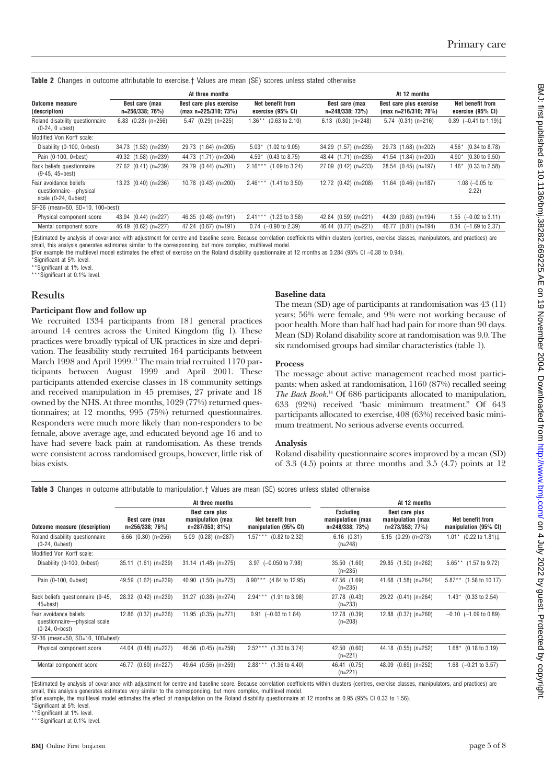**Table 2** Changes in outcome attributable to exercise.† Values are mean (SE) scores unless stated otherwise

|                                                                            |                                   | At three months                                   |                                        | At 12 months                         |                                                    |                                       |  |
|----------------------------------------------------------------------------|-----------------------------------|---------------------------------------------------|----------------------------------------|--------------------------------------|----------------------------------------------------|---------------------------------------|--|
| <b>Outcome measure</b><br>(description)                                    | Best care (max<br>n=256/338; 76%) | Best care plus exercise<br>$(max n=225/310; 73%)$ | Net benefit from<br>exercise (95% CI)  | Best care (max<br>$n=248/338$ ; 73%) | Best care plus exercise<br>(max $n=216/310$ ; 70%) | Net benefit from<br>exercise (95% CI) |  |
| Roland disability questionnaire<br>$(0-24, 0 = best)$                      | $6.83$ $(0.28)$ $(n=256)$         | 5.47 (0.29) (n=225)                               | $1.36**$ (0.63 to 2.10)                | $6.13$ $(0.30)$ $(n=248)$            | $5.74$ (0.31) (n=216)                              | $0.39$ (-0.41 to 1.19) $\ddagger$     |  |
| Modified Von Korff scale:                                                  |                                   |                                                   |                                        |                                      |                                                    |                                       |  |
| Disability (0-100, 0=best)                                                 | 34.73 (1.53) (n=239)              | 29.73 (1.64) (n=205)                              | $5.03*$ (1.02 to 9.05)                 | 34.29 (1.57) (n=235)                 | 29.73 (1.68) (n=202)                               | $4.56*$ (0.34 to 8.78)                |  |
| Pain (0-100, 0=best)                                                       | 49.32 (1.58) (n=239)              | 44.73 (1.71) (n=204)                              | $4.59*$ (0.43 to 8.75)                 | 48.44 (1.71) (n=235)                 | 41.54 (1.84) (n=200)                               | $(0.30 \text{ to } 9.50)$<br>$4.90*$  |  |
| Back beliefs questionnaire<br>$(9-45, 45=best)$                            | 27.62 (0.41) (n=239)              | 29.79 (0.44) (n=201)                              | $2.16***$ (1.09 to 3.24)               | 27.09 (0.42) (n=233)                 | 28.54 (0.45) (n=197)                               | $1.46*$ (0.33 to 2.58)                |  |
| Fear avoidance beliefs<br>questionnaire-physical<br>scale $(0-24, 0=best)$ | 13.23 (0.40) (n=236)              | $10.78$ (0.43) (n=200)                            | $2.46***$ (1.41 to 3.50)               | 12.72 (0.42) (n=208)                 | $11.64$ (0.46) (n=187)                             | 1.08 $(-0.05)$ to<br>2.22)            |  |
| SF-36 (mean=50, SD=10, 100=best):                                          |                                   |                                                   |                                        |                                      |                                                    |                                       |  |
| Physical component score                                                   | 43.94 (0.44) (n=227)              | 46.35 (0.48) (n=191)                              | $(1.23 \text{ to } 3.58)$<br>$2.41***$ | 42.84 (0.59) (n=221)                 | 44.39 (0.63) (n=194)                               | 1.55 $(-0.02 \text{ to } 3.11)$       |  |
| Mental component score                                                     | 46.49 (0.62) (n=227)              | 47.24 (0.67) (n=191)                              | $0.74$ $(-0.90 \text{ to } 2.39)$      | 46.44 (0.77) (n=221)                 | 46.77 (0.81) (n=194)                               | $0.34$ (-1.69 to 2.37)                |  |

†Estimated by analysis of covariance with adjustment for centre and baseline score. Because correlation coefficients within clusters (centres, exercise classes, manipulators, and practices) are small, this analysis generates estimates similar to the corresponding, but more complex, multilevel model.

‡For example the multilevel model estimates the effect of exercise on the Roland disability questionnaire at 12 months as 0.284 (95% CI −0.38 to 0.94).

\*Significant at 5% level.

\*Significant at 1% level \*\*\*Significant at 0.1% level.

# **Results**

#### **Participant flow and follow up**

We recruited 1334 participants from 181 general practices around 14 centres across the United Kingdom (fig 1). These practices were broadly typical of UK practices in size and deprivation. The feasibility study recruited 164 participants between March 1998 and April 1999.<sup>11</sup> The main trial recruited 1170 participants between August 1999 and April 2001. These participants attended exercise classes in 18 community settings and received manipulation in 45 premises, 27 private and 18 owned by the NHS. At three months, 1029 (77%) returned questionnaires; at 12 months, 995 (75%) returned questionnaires. Responders were much more likely than non-responders to be female, above average age, and educated beyond age 16 and to have had severe back pain at randomisation. As these trends were consistent across randomised groups, however, little risk of bias exists.

### **Baseline data**

The mean (SD) age of participants at randomisation was 43 (11) years; 56% were female, and 9% were not working because of poor health. More than half had had pain for more than 90 days. Mean (SD) Roland disability score at randomisation was 9.0. The six randomised groups had similar characteristics (table 1).

### **Process**

The message about active management reached most participants: when asked at randomisation, 1160 (87%) recalled seeing *The Back Book*. <sup>14</sup> Of 686 participants allocated to manipulation, 633 (92%) received "basic minimum treatment." Of 643 participants allocated to exercise, 408 (63%) received basic minimum treatment. No serious adverse events occurred.

#### **Analysis**

Roland disability questionnaire scores improved by a mean (SD) of 3.3 (4.5) points at three months and 3.5 (4.7) points at 12

|                                                                            |                                      | At three months                                           |                                           | At 12 months                                                |                                                           |                                           |  |
|----------------------------------------------------------------------------|--------------------------------------|-----------------------------------------------------------|-------------------------------------------|-------------------------------------------------------------|-----------------------------------------------------------|-------------------------------------------|--|
| Outcome measure (description)                                              | Best care (max<br>$n=256/338$ ; 76%) | Best care plus<br>manipulation (max<br>$n=287/353$ ; 81%) | Net benefit from<br>manipulation (95% CI) | <b>Excluding</b><br>manipulation (max<br>$n=248/338$ ; 73%) | Best care plus<br>manipulation (max<br>$n=273/353$ ; 77%) | Net benefit from<br>manipulation (95% CI) |  |
| Roland disability questionnaire<br>$(0-24, 0=best)$                        | $6.66$ $(0.30)$ $(n=256)$            | $5.09$ (0.28) (n=287)                                     | $1.57***$ (0.82 to 2.32)                  | 6.16(0.31)<br>$(n=248)$                                     | $5.15$ (0.29) (n=273)                                     | $1.01*$ (0.22 to 1.81) $\ddagger$         |  |
| Modified Von Korff scale:                                                  |                                      |                                                           |                                           |                                                             |                                                           |                                           |  |
| Disability (0-100, 0=best)                                                 | 35.11 (1.61) (n=239)                 | $31.14$ $(1.48)$ $(n=275)$                                | $3.97$ $(-0.050$ to $7.98)$               | 35.50 (1.60)<br>$(n=235)$                                   | 29.85 (1.50) (n=262)                                      | $5.65**$ (1.57 to 9.72)                   |  |
| Pain (0-100, 0=best)                                                       | 49.59 (1.62) (n=239)                 | 40.90 (1.50) (n=275)                                      | $8.90***$<br>$(4.84 \text{ to } 12.95)$   | 47.56 (1.69)<br>$(n=235)$                                   | 41.68 (1.58) (n=264)                                      | $5.87**$ (1.58 to 10.17)                  |  |
| Back beliefs questionnaire (9-45,<br>$45 = best$                           | 28.32 (0.42) (n=239)                 | 31.27 (0.38) (n=274)                                      | $2.94***$ (1.91 to 3.98)                  | 27.78 (0.43)<br>$(n=233)$                                   | 29.22 (0.41) (n=264)                                      | $1.43*$ (0.33 to 2.54)                    |  |
| Fear avoidance beliefs<br>questionnaire-physical scale<br>$(0-24, 0=best)$ | 12.86 (0.37) (n=236)                 | $11.95$ (0.35) (n=271)                                    | $0.91$ (-0.03 to 1.84)                    | 12.78 (0.39)<br>$(n=208)$                                   | 12.88 (0.37) (n=260)                                      | $-0.10$ $(-1.09$ to 0.89)                 |  |
| SF-36 (mean=50, SD=10, 100=best):                                          |                                      |                                                           |                                           |                                                             |                                                           |                                           |  |
| Physical component score                                                   | 44.04 (0.48) (n=227)                 | 46.56 (0.45) (n=259)                                      | $2.52***$<br>$(1.30 \text{ to } 3.74)$    | 42.50 (0.60)<br>$(n=221)$                                   | 44.18 (0.55) (n=252)                                      | $1.68*$ (0.18 to 3.19)                    |  |
| Mental component score                                                     | $(0.60)$ (n=227)<br>46.77            | 49.64 (0.56) (n=259)                                      | $2.88***$<br>$(1.36 \text{ to } 4.40)$    | 46.41 (0.75)<br>$(n=221)$                                   | 48.09 (0.69) (n=252)                                      | 1.68 $(-0.21 \text{ to } 3.57)$           |  |

†Estimated by analysis of covariance with adjustment for centre and baseline score. Because correlation coefficients within clusters (centres, exercise classes, manipulators, and practices) are small, this analysis generates estimates very similar to the corresponding, but more complex, multilevel model.

‡For example, the multilevel model estimates the effect of manipulation on the Roland disability questionnaire at 12 months as 0.95 (95% CI 0.33 to 1.56).

\*Significant at 5% level. \*\*Significant at 1% level.

\*\*\*Significant at 0.1% level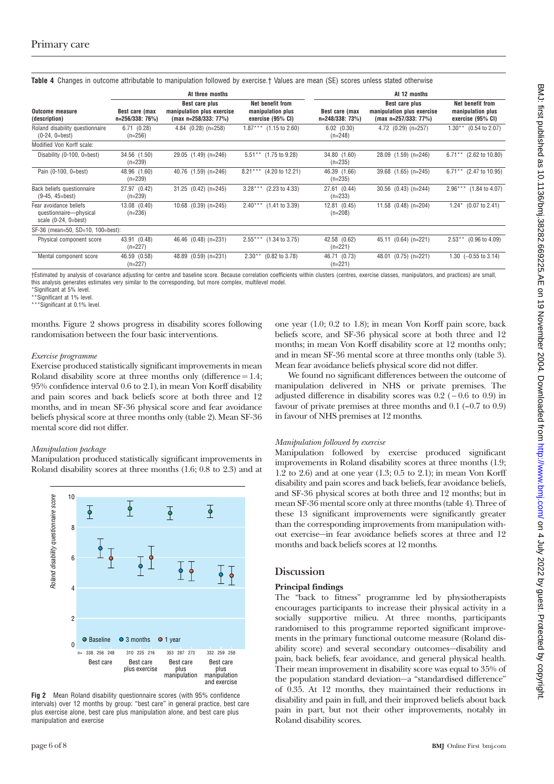|                                                                            | At three months                     |                                                                         |                                                            | At 12 months                      |                                                                      |                                                            |  |
|----------------------------------------------------------------------------|-------------------------------------|-------------------------------------------------------------------------|------------------------------------------------------------|-----------------------------------|----------------------------------------------------------------------|------------------------------------------------------------|--|
| <b>Outcome measure</b><br>(description)                                    | Best care (max<br>$n=256/338:76\%)$ | Best care plus<br>manipulation plus exercise<br>$(max n=258/333: 77\%)$ | Net benefit from<br>manipulation plus<br>exercise (95% CI) | Best care (max<br>n=248/338: 73%) | Best care plus<br>manipulation plus exercise<br>(max n=257/333: 77%) | Net benefit from<br>manipulation plus<br>exercise (95% CI) |  |
| Roland disability questionnaire<br>$(0-24, 0=best)$                        | 6.71(0.28)<br>$(n=256)$             | $4.84$ (0.28) (n=258)                                                   | $1.87***$ (1.15 to 2.60)                                   | 6.02(0.30)<br>$(n=248)$           | $4.72$ (0.29) (n=257)                                                | $1.30**$ (0.54 to 2.07)                                    |  |
| Modified Von Korff scale:                                                  |                                     |                                                                         |                                                            |                                   |                                                                      |                                                            |  |
| Disability (0-100, 0=best)                                                 | 34.56 (1.50)<br>$(n=239)$           | 29.05 (1.49) (n=246)                                                    | $5.51**$ (1.75 to 9.28)                                    | 34.80 (1.60)<br>$(n=235)$         | 28.09 (1.59) (n=246)                                                 | $6.71**$ (2.62 to 10.80)                                   |  |
| Pain (0-100, 0=best)                                                       | 48.96 (1.60)<br>$(n=239)$           | 40.76 (1.59) (n=246)                                                    | (4.20 to 12.21)<br>$8.21***$                               | 46.39 (1.66)<br>$(n=235)$         | 39.68 (1.65) (n=245)                                                 | 6.71** $(2.47 \text{ to } 10.95)$                          |  |
| Back beliefs questionnaire<br>$(9-45, 45=best)$                            | 27.97 (0.42)<br>$(n=239)$           | 31.25 (0.42) (n=245)                                                    | $3.28***$<br>$(2.23 \text{ to } 4.33)$                     | 27.61 (0.44)<br>$(n=233)$         | 30.56 (0.43) (n=244)                                                 | $2.96***$ (1.84 to 4.07)                                   |  |
| Fear avoidance beliefs<br>questionnaire-physical<br>scale $(0-24, 0=best)$ | 13.08 (0.40)<br>$(n=236)$           | $10.68$ $(0.39)$ $(n=245)$                                              | $2.40***$ (1.41 to 3.39)                                   | 12.81(0.45)<br>$(n=208)$          | 11.58 $(0.48)$ $(n=204)$                                             | $1.24*$ (0.07 to 2.41)                                     |  |
| SF-36 (mean=50, SD=10, 100=best):                                          |                                     |                                                                         |                                                            |                                   |                                                                      |                                                            |  |
| Physical component score                                                   | 43.91 (0.48)<br>$(n=227)$           | 46.46 (0.48) (n=231)                                                    | $2.55***$ (1.34 to 3.75)                                   | 42.58 (0.62)<br>$(n=221)$         | 45.11 (0.64) (n=221)                                                 | $(0.96 \text{ to } 4.09)$<br>$2.53**$                      |  |
| Mental component score                                                     | 46.59 (0.58)<br>$(n=227)$           | 48.89 (0.59) (n=231)                                                    | $(0.82 \text{ to } 3.78)$<br>$2.30**$                      | 46.71 (0.73)<br>$(n=221)$         | 48.01 (0.75) (n=221)                                                 | 1.30 $(-0.55$ to 3.14)                                     |  |

**Table 4** Changes in outcome attributable to manipulation followed by exercise.† Values are mean (SE) scores unless stated otherwise

†Estimated by analysis of covariance adjusting for centre and baseline score. Because correlation coefficients within clusters (centres, exercise classes, manipulators, and practices) are small, this analysis generates estimates very similar to the corresponding, but more complex, multilevel model.

\*Significant at 5% level.

\*\*Significant at 1% level.

\*\*\*Significant at 0.1% level.

months. Figure 2 shows progress in disability scores following randomisation between the four basic interventions.

#### *Exercise programme*

Exercise produced statistically significant improvements in mean Roland disability score at three months only (difference  $= 1.4$ ; 95% confidence interval 0.6 to 2.1), in mean Von Korff disability and pain scores and back beliefs score at both three and 12 months, and in mean SF-36 physical score and fear avoidance beliefs physical score at three months only (table 2). Mean SF-36 mental score did not differ.

#### *Manipulation package*

Manipulation produced statistically significant improvements in Roland disability scores at three months (1.6; 0.8 to 2.3) and at



**Fig 2** Mean Roland disability questionnaire scores (with 95% confidence intervals) over 12 months by group: "best care" in general practice, best care plus exercise alone, best care plus manipulation alone, and best care plus manipulation and exercise

one year (1.0; 0.2 to 1.8); in mean Von Korff pain score, back beliefs score, and SF-36 physical score at both three and 12 months; in mean Von Korff disability score at 12 months only; and in mean SF-36 mental score at three months only (table 3). Mean fear avoidance beliefs physical score did not differ.

We found no significant differences between the outcome of manipulation delivered in NHS or private premises. The adjusted difference in disability scores was  $0.2$  ( $-0.6$  to  $0.9$ ) in favour of private premises at three months and  $0.1$  (– $0.7$  to  $0.9$ ) in favour of NHS premises at 12 months.

#### *Manipulation followed by exercise*

Manipulation followed by exercise produced significant improvements in Roland disability scores at three months (1.9; 1.2 to 2.6) and at one year (1.3; 0.5 to 2.1); in mean Von Korff disability and pain scores and back beliefs, fear avoidance beliefs, and SF-36 physical scores at both three and 12 months; but in mean SF-36 mental score only at three months (table 4). Three of these 13 significant improvements were significantly greater than the corresponding improvements from manipulation without exercise—in fear avoidance beliefs scores at three and 12 months and back beliefs scores at 12 months.

# **Discussion**

### **Principal findings**

The "back to fitness" programme led by physiotherapists encourages participants to increase their physical activity in a socially supportive milieu. At three months, participants randomised to this programme reported significant improvements in the primary functional outcome measure (Roland disability score) and several secondary outcomes—disability and pain, back beliefs, fear avoidance, and general physical health. Their mean improvement in disability score was equal to 35% of the population standard deviation—a "standardised difference" of 0.35. At 12 months, they maintained their reductions in disability and pain in full, and their improved beliefs about back pain in part, but not their other improvements, notably in Roland disability scores.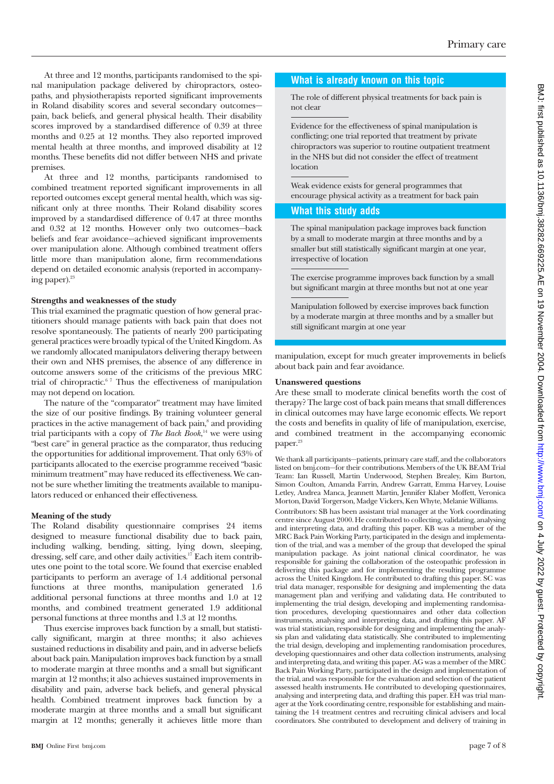At three and 12 months, participants randomised to the spinal manipulation package delivered by chiropractors, osteopaths, and physiotherapists reported significant improvements in Roland disability scores and several secondary outcomes pain, back beliefs, and general physical health. Their disability scores improved by a standardised difference of 0.39 at three months and 0.25 at 12 months. They also reported improved mental health at three months, and improved disability at 12 months. These benefits did not differ between NHS and private premises.

At three and 12 months, participants randomised to combined treatment reported significant improvements in all reported outcomes except general mental health, which was significant only at three months. Their Roland disability scores improved by a standardised difference of 0.47 at three months and 0.32 at 12 months. However only two outcomes—back beliefs and fear avoidance—achieved significant improvements over manipulation alone. Although combined treatment offers little more than manipulation alone, firm recommendations depend on detailed economic analysis (reported in accompanying paper).<sup>23</sup>

#### **Strengths and weaknesses of the study**

This trial examined the pragmatic question of how general practitioners should manage patients with back pain that does not resolve spontaneously. The patients of nearly 200 participating general practices were broadly typical of the United Kingdom. As we randomly allocated manipulators delivering therapy between their own and NHS premises, the absence of any difference in outcome answers some of the criticisms of the previous MRC trial of chiropractic.6 7 Thus the effectiveness of manipulation may not depend on location.

The nature of the "comparator" treatment may have limited the size of our positive findings. By training volunteer general practices in the active management of back pain,<sup>8</sup> and providing trial participants with a copy of *The Back Book*, <sup>14</sup> we were using "best care" in general practice as the comparator, thus reducing the opportunities for additional improvement. That only 63% of participants allocated to the exercise programme received "basic minimum treatment" may have reduced its effectiveness. We cannot be sure whether limiting the treatments available to manipulators reduced or enhanced their effectiveness.

### **Meaning of the study**

The Roland disability questionnaire comprises 24 items designed to measure functional disability due to back pain, including walking, bending, sitting, lying down, sleeping, dressing, self care, and other daily activities.17 Each item contributes one point to the total score. We found that exercise enabled participants to perform an average of 1.4 additional personal functions at three months, manipulation generated 1.6 additional personal functions at three months and 1.0 at 12 months, and combined treatment generated 1.9 additional personal functions at three months and 1.3 at 12 months.

Thus exercise improves back function by a small, but statistically significant, margin at three months; it also achieves sustained reductions in disability and pain, and in adverse beliefs about back pain. Manipulation improves back function by a small to moderate margin at three months and a small but significant margin at 12 months; it also achieves sustained improvements in disability and pain, adverse back beliefs, and general physical health. Combined treatment improves back function by a moderate margin at three months and a small but significant margin at 12 months; generally it achieves little more than

# **What is already known on this topic**

The role of different physical treatments for back pain is not clear

Evidence for the effectiveness of spinal manipulation is conflicting; one trial reported that treatment by private chiropractors was superior to routine outpatient treatment in the NHS but did not consider the effect of treatment location

Weak evidence exists for general programmes that encourage physical activity as a treatment for back pain

# **What this study adds**

The spinal manipulation package improves back function by a small to moderate margin at three months and by a smaller but still statistically significant margin at one year, irrespective of location

The exercise programme improves back function by a small but significant margin at three months but not at one year

Manipulation followed by exercise improves back function by a moderate margin at three months and by a smaller but still significant margin at one year

manipulation, except for much greater improvements in beliefs about back pain and fear avoidance.

### **Unanswered questions**

Are these small to moderate clinical benefits worth the cost of therapy? The large cost of back pain means that small differences in clinical outcomes may have large economic effects. We report the costs and benefits in quality of life of manipulation, exercise, and combined treatment in the accompanying economic paper.<sup>23</sup>

We thank all participants—patients, primary care staff, and the collaborators listed on bmj.com—for their contributions. Members of the UK BEAM Trial Team: Ian Russell, Martin Underwood, Stephen Brealey, Kim Burton, Simon Coulton, Amanda Farrin, Andrew Garratt, Emma Harvey, Louise Letley, Andrea Manca, Jeannett Martin, Jennifer Klaber Moffett, Veronica Morton, David Torgerson, Madge Vickers, Ken Whyte, Melanie Williams.

Contributors: SB has been assistant trial manager at the York coordinating centre since August 2000. He contributed to collecting, validating, analysing and interpreting data, and drafting this paper. KB was a member of the MRC Back Pain Working Party, participated in the design and implementation of the trial, and was a member of the group that developed the spinal manipulation package. As joint national clinical coordinator, he was responsible for gaining the collaboration of the osteopathic profession in delivering this package and for implementing the resulting programme across the United Kingdom. He contributed to drafting this paper. SC was trial data manager, responsible for designing and implementing the data management plan and verifying and validating data. He contributed to implementing the trial design, developing and implementing randomisation procedures, developing questionnaires and other data collection instruments, analysing and interpreting data, and drafting this paper. AF was trial statistician, responsible for designing and implementing the analysis plan and validating data statistically. She contributed to implementing the trial design, developing and implementing randomisation procedures, developing questionnaires and other data collection instruments, analysing and interpreting data, and writing this paper. AG was a member of the MRC Back Pain Working Party, participated in the design and implementation of the trial, and was responsible for the evaluation and selection of the patient assessed health instruments. He contributed to developing questionnaires, analysing and interpreting data, and drafting this paper. EH was trial manager at the York coordinating centre, responsible for establishing and maintaining the 14 treatment centres and recruiting clinical advisers and local coordinators. She contributed to development and delivery of training in